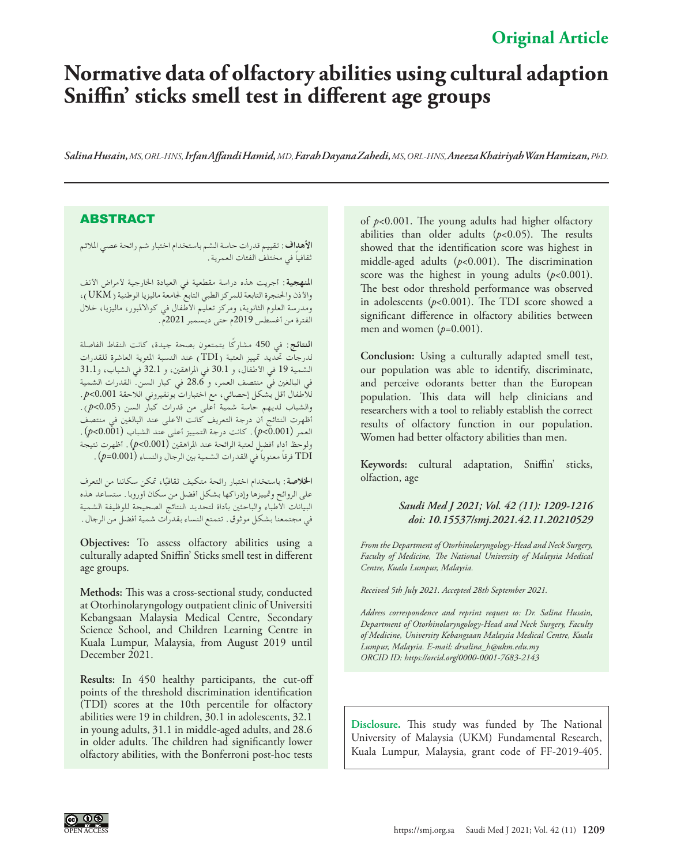# **Original Article**

# **Normative data of olfactory abilities using cultural adaption Sniffin' sticks smell test in different age groups**

*Salina Husain, MS, ORL-HNS, Irfan Affandi Hamid, MD, Farah Dayana Zahedi, MS, ORL-HNS, Aneeza Khairiyah Wan Hamizan, PhD.*

### ABSTRACT

**األهداف:** تقييم قدرات حاسة الشم باستخدام اختبار شم رائحة عصي املالئم ً ثقافيا في مختلف الفئات العمرية.

**املنهجية:** أجريت هذه دراسة مقطعية في العيادة اخلارجية ألمراض األنف واألذن واحلنجرة التابعة للمركز الطبي التابع جلامعة ماليزيا الوطنية )UKM)، ومدرسة العلوم الثانوية، ومركز تعليم األطفال في كواالملبور، ماليزيا، خالل الفترة من أغسطس 2019م حتى ديسمبر 2021م.

**النتائج:** في 450 ً مشاركا يتمتعون بصحة جيدة، كانت النقاط الفاصلة لدرجات حتديد متييز العتبة )TDI )عند النسبة املئوية العاشرة للقدرات الشمية 19 في األطفال، و 30.1 في املراهقني، و 32.1 في الشباب، و31.1 في البالغني في منتصف العمر، و 28.6 في كبار السن. القدرات الشمية لألطفال أقل بشكل إحصائي، مع اختبارات بونفيروني الالحقة 0.001>*p*. والشباب لديهم حاسة شمية أعلى من قدرات كبار السن )0.05>*p*). أظهرت النتائج أن درجة التعريف كانت األعلى عند البالغني في منتصف العمر )0.001>*p*). كانت درجة التمييز أعلى عند الشباب )0.001>*p*). ولوحظ أداء أفضل لعتبة الرائحة عند املراهقني )0.001>*p*). أظهرت نتيجة TDI ً فرقا ً معنويا في القدرات الشمية بني الرجال والنساء )0.001=*p*).

ا**لخلاصة** : باستخدام اختبار رائحة متكيف ثقافيًا، تمكن سكاننا من التعرف<br>. على الروائح ومتييزها وإدراكها بشكل أفضل من سكان أوروبا. ستساعد هذه البيانات األطباء والباحثني بأداة لتحديد النتائج الصحيحة للوظيفة الشمية في مجتمعنا بشكل موثوق. تتمتع النساء بقدرات شمية أفضل من الرجال.

**Objectives:** To assess olfactory abilities using a culturally adapted Sniffin' Sticks smell test in different age groups.

**Methods:** This was a cross-sectional study, conducted at Otorhinolaryngology outpatient clinic of Universiti Kebangsaan Malaysia Medical Centre, Secondary Science School, and Children Learning Centre in Kuala Lumpur, Malaysia, from August 2019 until December 2021.

**Results:** In 450 healthy participants, the cut-off points of the threshold discrimination identification (TDI) scores at the 10th percentile for olfactory abilities were 19 in children, 30.1 in adolescents, 32.1 in young adults, 31.1 in middle-aged adults, and 28.6 in older adults. The children had significantly lower olfactory abilities, with the Bonferroni post-hoc tests

of *p*<0.001. The young adults had higher olfactory abilities than older adults  $(p<0.05)$ . The results showed that the identification score was highest in middle-aged adults (*p*<0.001). The discrimination score was the highest in young adults  $(p<0.001)$ . The best odor threshold performance was observed in adolescents (*p*<0.001). The TDI score showed a significant difference in olfactory abilities between men and women (*p*=0.001).

**Conclusion:** Using a culturally adapted smell test, our population was able to identify, discriminate, and perceive odorants better than the European population. This data will help clinicians and researchers with a tool to reliably establish the correct results of olfactory function in our population. Women had better olfactory abilities than men.

**Keywords:** cultural adaptation, Sniffin' sticks, olfaction, age

#### *Saudi Med J 2021; Vol. 42 (11): 1209-1216 doi: 10.15537/smj.2021.42.11.20210529*

*From the Department of Otorhinolaryngology-Head and Neck Surgery, Faculty of Medicine, The National University of Malaysia Medical Centre, Kuala Lumpur, Malaysia.*

*Received 5th July 2021. Accepted 28th September 2021.*

*Address correspondence and reprint request to: Dr. Salina Husain, Department of Otorhinolaryngology-Head and Neck Surgery, Faculty of Medicine, University Kebangsaan Malaysia Medical Centre, Kuala Lumpur, Malaysia. E-mail: drsalina\_h@ukm.edu.my ORCID ID: https://orcid.org/0000-0001-7683-2143*

**Disclosure.** This study was funded by The National University of Malaysia (UKM) Fundamental Research, Kuala Lumpur, Malaysia, grant code of FF-2019-405.

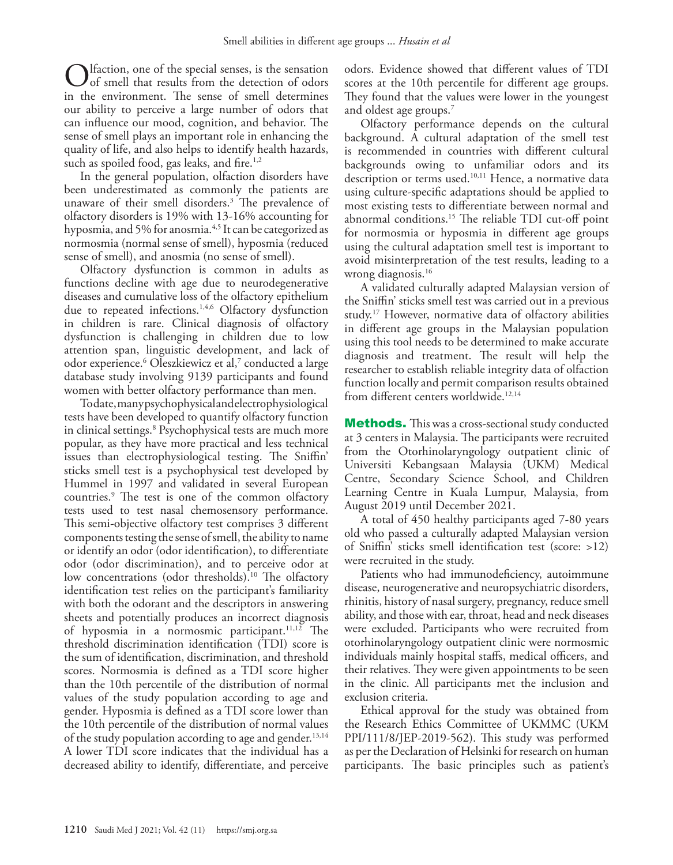Ifaction, one of the special senses, is the sensation  $\mathcal I$  of smell that results from the detection of odors in the environment. The sense of smell determines our ability to perceive a large number of odors that can influence our mood, cognition, and behavior. The sense of smell plays an important role in enhancing the quality of life, and also helps to identify health hazards, such as spoiled food, gas leaks, and fire.<sup>[1](#page-6-0)[,2](#page-6-1)</sup>

In the general population, olfaction disorders have been underestimated as commonly the patients are unaware of their smell disorders[.3](#page-6-2) The prevalence of olfactory disorders is 19% with 13-16% accounting for hyposmia, and 5% for anosmia.<sup>[4](#page-6-3),5</sup> It can be categorized as normosmia (normal sense of smell), hyposmia (reduced sense of smell), and anosmia (no sense of smell).

Olfactory dysfunction is common in adults as functions decline with age due to neurodegenerative diseases and cumulative loss of the olfactory epithelium due to repeated infections.<sup>1,[4](#page-6-3),[6](#page-6-5)</sup> Olfactory dysfunction in children is rare. Clinical diagnosis of olfactory dysfunction is challenging in children due to low attention span, linguistic development, and lack of odor experience.[6](#page-6-5) Oleszkiewicz et al[,7](#page-6-6) conducted a large database study involving 9139 participants and found women with better olfactory performance than men.

To date, many psychophysical and electrophysiological tests have been developed to quantify olfactory function in clinical settings.[8](#page-6-7) Psychophysical tests are much more popular, as they have more practical and less technical issues than electrophysiological testing. The Sniffin' sticks smell test is a psychophysical test developed by Hummel in 1997 and validated in several European countries[.9](#page-6-8) The test is one of the common olfactory tests used to test nasal chemosensory performance. This semi-objective olfactory test comprises 3 different components testing the sense of smell, the ability to name or identify an odor (odor identification), to differentiate odor (odor discrimination), and to perceive odor at low concentrations (odor thresholds). [10](#page-6-9) The olfactory identification test relies on the participant's familiarity with both the odorant and the descriptors in answering sheets and potentially produces an incorrect diagnosis of hyposmia in a normosmic participant.<sup>[11](#page-6-10),[12](#page-7-0)</sup> The threshold discrimination identification (TDI) score is the sum of identification, discrimination, and threshold scores. Normosmia is defined as a TDI score higher than the 10th percentile of the distribution of normal values of the study population according to age and gender. Hyposmia is defined as a TDI score lower than the 10th percentile of the distribution of normal values of the study population according to age and gender.<sup>13,[14](#page-7-2)</sup> A lower TDI score indicates that the individual has a decreased ability to identify, differentiate, and perceive

odors. Evidence showed that different values of TDI scores at the 10th percentile for different age groups. They found that the values were lower in the youngest and oldest age groups.<sup>[7](#page-6-6)</sup>

Olfactory performance depends on the cultural background. A cultural adaptation of the smell test is recommended in countries with different cultural backgrounds owing to unfamiliar odors and its description or terms used.<sup>[10](#page-6-9),[11](#page-6-10)</sup> Hence, a normative data using culture-specific adaptations should be applied to most existing tests to differentiate between normal and abnormal conditions.[15](#page-7-3) The reliable TDI cut-off point for normosmia or hyposmia in different age groups using the cultural adaptation smell test is important to avoid misinterpretation of the test results, leading to a wrong diagnosis.<sup>[16](#page-7-4)</sup>

A validated culturally adapted Malaysian version of the Sniffin' sticks smell test was carried out in a previous study.[17](#page-7-5) However, normative data of olfactory abilities in different age groups in the Malaysian population using this tool needs to be determined to make accurate diagnosis and treatment. The result will help the researcher to establish reliable integrity data of olfaction function locally and permit comparison results obtained from different centers worldwide.<sup>[12,](#page-7-0)[14](#page-7-2)</sup>

**Methods.** This was a cross-sectional study conducted at 3 centers in Malaysia. The participants were recruited from the Otorhinolaryngology outpatient clinic of Universiti Kebangsaan Malaysia (UKM) Medical Centre, Secondary Science School, and Children Learning Centre in Kuala Lumpur, Malaysia, from August 2019 until December 2021.

A total of 450 healthy participants aged 7-80 years old who passed a culturally adapted Malaysian version of Sniffin' sticks smell identification test (score: >12) were recruited in the study.

Patients who had immunodeficiency, autoimmune disease, neurogenerative and neuropsychiatric disorders, rhinitis, history of nasal surgery, pregnancy, reduce smell ability, and those with ear, throat, head and neck diseases were excluded. Participants who were recruited from otorhinolaryngology outpatient clinic were normosmic individuals mainly hospital staffs, medical officers, and their relatives. They were given appointments to be seen in the clinic. All participants met the inclusion and exclusion criteria.

Ethical approval for the study was obtained from the Research Ethics Committee of UKMMC (UKM PPI/111/8/JEP-2019-562). This study was performed as per the Declaration of Helsinki for research on human participants. The basic principles such as patient's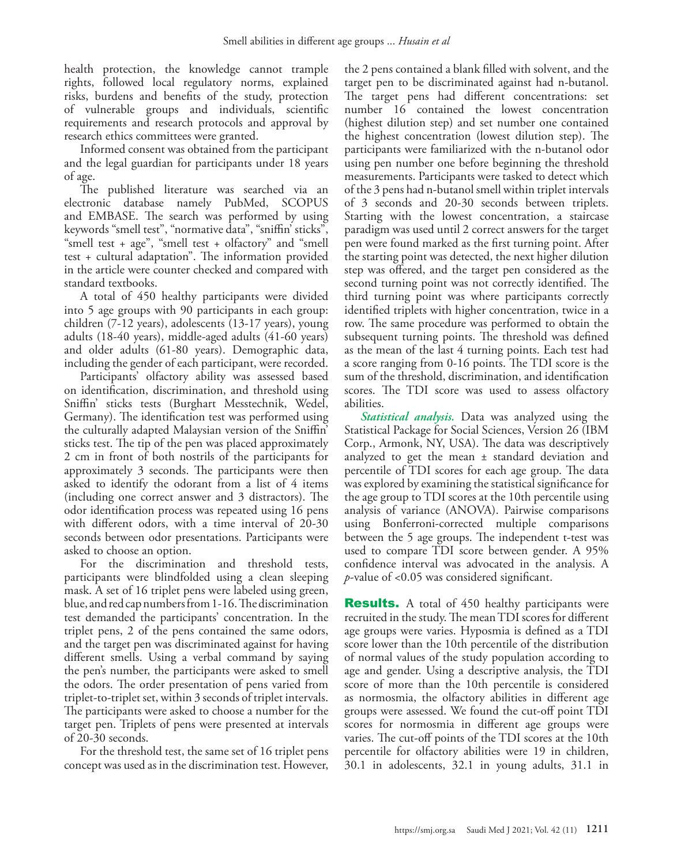health protection, the knowledge cannot trample rights, followed local regulatory norms, explained risks, burdens and benefits of the study, protection of vulnerable groups and individuals, scientific requirements and research protocols and approval by research ethics committees were granted.

Informed consent was obtained from the participant and the legal guardian for participants under 18 years of age.

The published literature was searched via an electronic database namely PubMed, SCOPUS and EMBASE. The search was performed by using keywords "smell test", "normative data", "sniffin' sticks", "smell test + age", "smell test + olfactory" and "smell test + cultural adaptation". The information provided in the article were counter checked and compared with standard textbooks.

A total of 450 healthy participants were divided into 5 age groups with 90 participants in each group: children (7-12 years), adolescents (13-17 years), young adults (18-40 years), middle-aged adults (41-60 years) and older adults (61-80 years). Demographic data, including the gender of each participant, were recorded.

Participants' olfactory ability was assessed based on identification, discrimination, and threshold using Sniffin' sticks tests (Burghart Messtechnik, Wedel, Germany). The identification test was performed using the culturally adapted Malaysian version of the Sniffin' sticks test. The tip of the pen was placed approximately 2 cm in front of both nostrils of the participants for approximately 3 seconds. The participants were then asked to identify the odorant from a list of 4 items (including one correct answer and 3 distractors). The odor identification process was repeated using 16 pens with different odors, with a time interval of 20-30 seconds between odor presentations. Participants were asked to choose an option.

For the discrimination and threshold tests, participants were blindfolded using a clean sleeping mask. A set of 16 triplet pens were labeled using green, blue, and red cap numbers from 1-16. The discrimination test demanded the participants' concentration. In the triplet pens, 2 of the pens contained the same odors, and the target pen was discriminated against for having different smells. Using a verbal command by saying the pen's number, the participants were asked to smell the odors. The order presentation of pens varied from triplet-to-triplet set, within 3 seconds of triplet intervals. The participants were asked to choose a number for the target pen. Triplets of pens were presented at intervals of 20-30 seconds.

For the threshold test, the same set of 16 triplet pens concept was used as in the discrimination test. However,

the 2 pens contained a blank filled with solvent, and the target pen to be discriminated against had n-butanol. The target pens had different concentrations: set number 16 contained the lowest concentration (highest dilution step) and set number one contained the highest concentration (lowest dilution step). The participants were familiarized with the n-butanol odor using pen number one before beginning the threshold measurements. Participants were tasked to detect which of the 3 pens had n-butanol smell within triplet intervals of 3 seconds and 20-30 seconds between triplets. Starting with the lowest concentration, a staircase paradigm was used until 2 correct answers for the target pen were found marked as the first turning point. After the starting point was detected, the next higher dilution step was offered, and the target pen considered as the second turning point was not correctly identified. The third turning point was where participants correctly identified triplets with higher concentration, twice in a row. The same procedure was performed to obtain the subsequent turning points. The threshold was defined as the mean of the last 4 turning points. Each test had a score ranging from 0-16 points. The TDI score is the sum of the threshold, discrimination, and identification scores. The TDI score was used to assess olfactory abilities.

*Statistical analysis.* Data was analyzed using the Statistical Package for Social Sciences, Version 26 (IBM Corp., Armonk, NY, USA). The data was descriptively analyzed to get the mean ± standard deviation and percentile of TDI scores for each age group. The data was explored by examining the statistical significance for the age group to TDI scores at the 10th percentile using analysis of variance (ANOVA). Pairwise comparisons using Bonferroni-corrected multiple comparisons between the 5 age groups. The independent t-test was used to compare TDI score between gender. A 95% confidence interval was advocated in the analysis. A *p*-value of <0.05 was considered significant.

**Results.** A total of 450 healthy participants were recruited in the study. The mean TDI scores for different age groups were varies. Hyposmia is defined as a TDI score lower than the 10th percentile of the distribution of normal values of the study population according to age and gender. Using a descriptive analysis, the TDI score of more than the 10th percentile is considered as normosmia, the olfactory abilities in different age groups were assessed. We found the cut-off point TDI scores for normosmia in different age groups were varies. The cut-off points of the TDI scores at the 10th percentile for olfactory abilities were 19 in children, 30.1 in adolescents, 32.1 in young adults, 31.1 in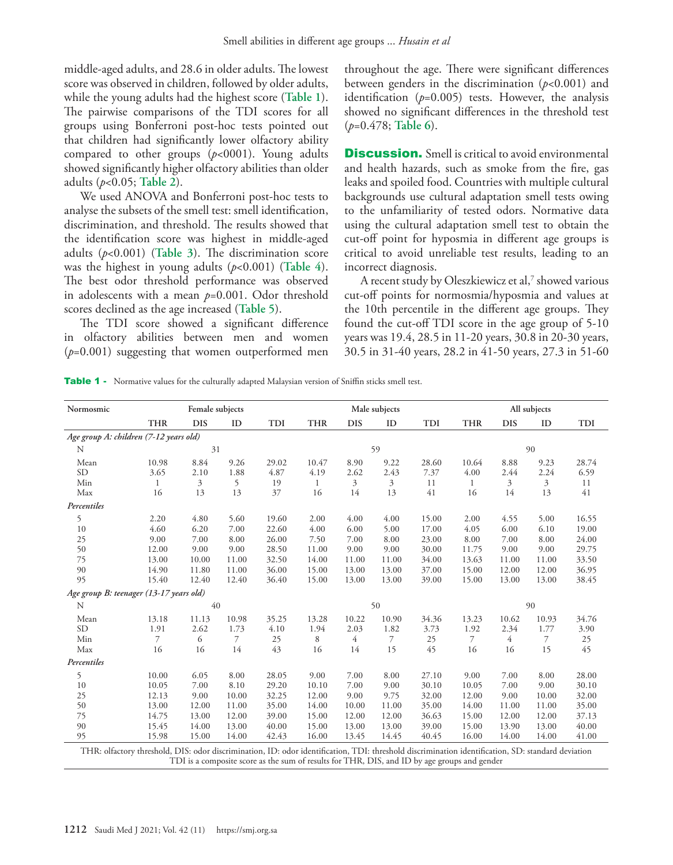middle-aged adults, and 28.6 in older adults. The lowest score was observed in children, followed by older adults, while the young adults had the highest score (**Table 1**). The pairwise comparisons of the TDI scores for all groups using Bonferroni post-hoc tests pointed out that children had significantly lower olfactory ability compared to other groups (*p*<0001). Young adults showed significantly higher olfactory abilities than older adults (*p*<0.05; **Table 2**).

We used ANOVA and Bonferroni post-hoc tests to analyse the subsets of the smell test: smell identification, discrimination, and threshold. The results showed that the identification score was highest in middle-aged adults (*p*<0.001) (**Table 3**). The discrimination score was the highest in young adults (*p*<0.001) (**Table 4**). The best odor threshold performance was observed in adolescents with a mean *p*=0.001. Odor threshold scores declined as the age increased (**Table 5**).

The TDI score showed a significant difference in olfactory abilities between men and women (*p*=0.001) suggesting that women outperformed men throughout the age. There were significant differences between genders in the discrimination (*p*<0.001) and identification  $(p=0.005)$  tests. However, the analysis showed no significant differences in the threshold test (*p*=0.478; **Table 6**).

**Discussion.** Smell is critical to avoid environmental and health hazards, such as smoke from the fire, gas leaks and spoiled food. Countries with multiple cultural backgrounds use cultural adaptation smell tests owing to the unfamiliarity of tested odors. Normative data using the cultural adaptation smell test to obtain the cut-off point for hyposmia in different age groups is critical to avoid unreliable test results, leading to an incorrect diagnosis.

A recent study by Oleszkiewicz et al,<sup>7</sup> showed various cut-off points for normosmia/hyposmia and values at the 10th percentile in the different age groups. They found the cut-off TDI score in the age group of 5-10 years was 19.4, 28.5 in 11-20 years, 30.8 in 20-30 years, 30.5 in 31-40 years, 28.2 in 41-50 years, 27.3 in 51-60

Table 1 - Normative values for the culturally adapted Malaysian version of Sniffin sticks smell test.

| Normosmic                               |                                                                                                                                                   | Female subjects |                |       |            |            | Male subjects |       |            |            | All subjects |            |
|-----------------------------------------|---------------------------------------------------------------------------------------------------------------------------------------------------|-----------------|----------------|-------|------------|------------|---------------|-------|------------|------------|--------------|------------|
|                                         | <b>THR</b>                                                                                                                                        | <b>DIS</b>      | ID             | TDI   | <b>THR</b> | <b>DIS</b> | ID            | TDI   | <b>THR</b> | <b>DIS</b> | ID           | <b>TDI</b> |
| Age group A: children (7-12 years old)  |                                                                                                                                                   |                 |                |       |            |            |               |       |            |            |              |            |
| N                                       |                                                                                                                                                   | 31              |                |       |            |            | 59            |       |            |            | 90           |            |
| Mean                                    | 10.98                                                                                                                                             | 8.84            | 9.26           | 29.02 | 10.47      | 8.90       | 9.22          | 28.60 | 10.64      | 8.88       | 9.23         | 28.74      |
| <b>SD</b>                               | 3.65                                                                                                                                              | 2.10            | 1.88           | 4.87  | 4.19       | 2.62       | 2.43          | 7.37  | 4.00       | 2.44       | 2.24         | 6.59       |
| Min                                     | 1                                                                                                                                                 | 3               | 5              | 19    | 1          | 3          | 3             | 11    | 1          | 3          | 3            | 11         |
| Max                                     | 16                                                                                                                                                | 13              | 13             | 37    | 16         | 14         | 13            | 41    | 16         | 14         | 13           | 41         |
| Percentiles                             |                                                                                                                                                   |                 |                |       |            |            |               |       |            |            |              |            |
| 5                                       | 2.20                                                                                                                                              | 4.80            | 5.60           | 19.60 | 2.00       | 4.00       | 4.00          | 15.00 | 2.00       | 4.55       | 5.00         | 16.55      |
| 10                                      | 4.60                                                                                                                                              | 6.20            | 7.00           | 22.60 | 4.00       | 6.00       | 5.00          | 17.00 | 4.05       | 6.00       | 6.10         | 19.00      |
| 25                                      | 9.00                                                                                                                                              | 7.00            | 8.00           | 26.00 | 7.50       | 7.00       | 8.00          | 23.00 | 8.00       | 7.00       | 8.00         | 24.00      |
| 50                                      | 12.00                                                                                                                                             | 9.00            | 9.00           | 28.50 | 11.00      | 9.00       | 9.00          | 30.00 | 11.75      | 9.00       | 9.00         | 29.75      |
| 75                                      | 13.00                                                                                                                                             | 10.00           | 11.00          | 32.50 | 14.00      | 11.00      | 11.00         | 34.00 | 13.63      | 11.00      | 11.00        | 33.50      |
| 90                                      | 14.90                                                                                                                                             | 11.80           | 11.00          | 36.00 | 15.00      | 13.00      | 13.00         | 37.00 | 15.00      | 12.00      | 12.00        | 36.95      |
| 95                                      | 15.40                                                                                                                                             | 12.40           | 12.40          | 36.40 | 15.00      | 13.00      | 13.00         | 39.00 | 15.00      | 13.00      | 13.00        | 38.45      |
| Age group B: teenager (13-17 years old) |                                                                                                                                                   |                 |                |       |            |            |               |       |            |            |              |            |
| N                                       |                                                                                                                                                   | 40              |                |       |            |            | 50            |       |            |            | 90           |            |
| Mean                                    | 13.18                                                                                                                                             | 11.13           | 10.98          | 35.25 | 13.28      | 10.22      | 10.90         | 34.36 | 13.23      | 10.62      | 10.93        | 34.76      |
| <b>SD</b>                               | 1.91                                                                                                                                              | 2.62            | 1.73           | 4.10  | 1.94       | 2.03       | 1.82          | 3.73  | 1.92       | 2.34       | 1.77         | 3.90       |
| Min                                     | 7                                                                                                                                                 | 6               | $\overline{7}$ | 25    | 8          | 4          | $\mathcal{I}$ | 25    | 7          | 4          | 7            | 25         |
| Max                                     | 16                                                                                                                                                | 16              | 14             | 43    | 16         | 14         | 15            | 45    | 16         | 16         | 15           | 45         |
| Percentiles                             |                                                                                                                                                   |                 |                |       |            |            |               |       |            |            |              |            |
| 5                                       | 10.00                                                                                                                                             | 6.05            | 8.00           | 28.05 | 9.00       | 7.00       | 8.00          | 27.10 | 9.00       | 7.00       | 8.00         | 28.00      |
| 10                                      | 10.05                                                                                                                                             | 7.00            | 8.10           | 29.20 | 10.10      | 7.00       | 9.00          | 30.10 | 10.05      | 7.00       | 9.00         | 30.10      |
| 25                                      | 12.13                                                                                                                                             | 9.00            | 10.00          | 32.25 | 12.00      | 9.00       | 9.75          | 32.00 | 12.00      | 9.00       | 10.00        | 32.00      |
| 50                                      | 13.00                                                                                                                                             | 12.00           | 11.00          | 35.00 | 14.00      | 10.00      | 11.00         | 35.00 | 14.00      | 11.00      | 11.00        | 35.00      |
| 75                                      | 14.75                                                                                                                                             | 13.00           | 12.00          | 39.00 | 15.00      | 12.00      | 12.00         | 36.63 | 15.00      | 12.00      | 12.00        | 37.13      |
| 90                                      | 15.45                                                                                                                                             | 14.00           | 13.00          | 40.00 | 15.00      | 13.00      | 13.00         | 39.00 | 15.00      | 13.90      | 13.00        | 40.00      |
| 95                                      | 15.98                                                                                                                                             | 15.00           | 14.00          | 42.43 | 16.00      | 13.45      | 14.45         | 40.45 | 16.00      | 14.00      | 14.00        | 41.00      |
|                                         | THR: olfactory threshold, DIS: odor discrimination, ID: odor identification, TDI: threshold discrimination identification, SD: standard deviation |                 |                |       |            |            |               |       |            |            |              |            |

TDI is a composite score as the sum of results for THR, DIS, and ID by age groups and gender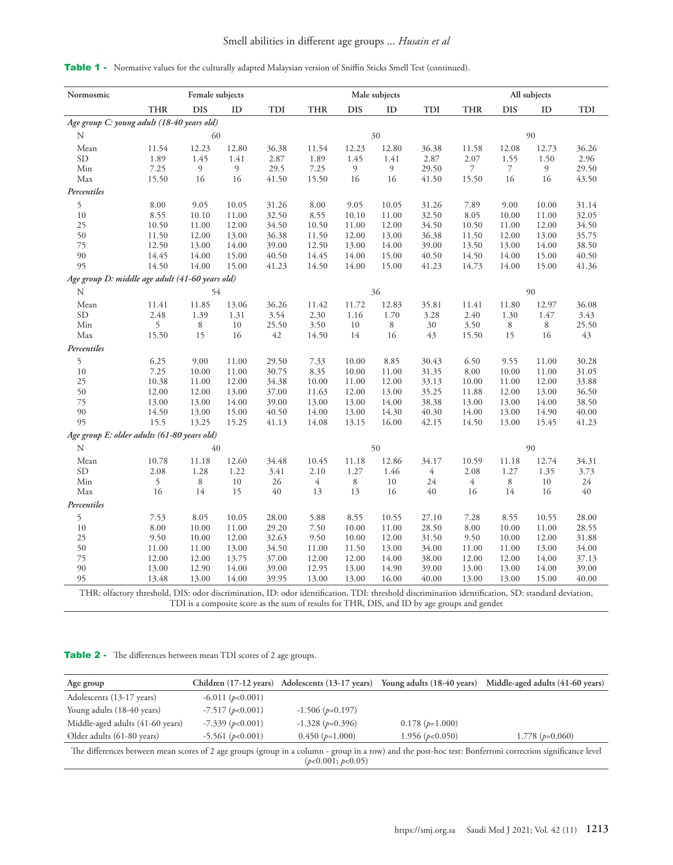## Smell abilities in different age groups ... *Husain et al*

| Normosmic                                                                                                                                          |            | Female subjects |       |       |                |            | Male subjects |                                                                                              |            |            | All subjects |       |
|----------------------------------------------------------------------------------------------------------------------------------------------------|------------|-----------------|-------|-------|----------------|------------|---------------|----------------------------------------------------------------------------------------------|------------|------------|--------------|-------|
|                                                                                                                                                    | <b>THR</b> | <b>DIS</b>      | ID    | TDI   | <b>THR</b>     | <b>DIS</b> | ID            | TDI                                                                                          | <b>THR</b> | <b>DIS</b> | ID           | TDI   |
| Age group C: young adult (18-40 years old)                                                                                                         |            |                 |       |       |                |            |               |                                                                                              |            |            |              |       |
| N                                                                                                                                                  |            | 60              |       |       |                |            | 30            |                                                                                              |            |            | 90           |       |
| Mean                                                                                                                                               | 11.54      | 12.23           | 12.80 | 36.38 | 11.54          | 12.23      | 12.80         | 36.38                                                                                        | 11.58      | 12.08      | 12.73        | 36.26 |
| SD                                                                                                                                                 | 1.89       | 1.45            | 1.41  | 2.87  | 1.89           | 1.45       | 1.41          | 2.87                                                                                         | 2.07       | 1.55       | 1.50         | 2.96  |
| Min                                                                                                                                                | 7.25       | 9               | 9     | 29.5  | 7.25           | 9          | 9             | 29.50                                                                                        | 7          | 7          | 9            | 29.50 |
| Max                                                                                                                                                | 15.50      | 16              | 16    | 41.50 | 15.50          | 16         | 16            | 41.50                                                                                        | 15.50      | 16         | 16           | 43.50 |
| Percentiles                                                                                                                                        |            |                 |       |       |                |            |               |                                                                                              |            |            |              |       |
| 5                                                                                                                                                  | 8.00       | 9.05            | 10.05 | 31.26 | 8.00           | 9.05       | 10.05         | 31.26                                                                                        | 7.89       | 9.00       | 10.00        | 31.14 |
| 10                                                                                                                                                 | 8.55       | 10.10           | 11.00 | 32.50 | 8.55           | 10.10      | 11.00         | 32.50                                                                                        | 8.05       | 10.00      | 11.00        | 32.05 |
| 25                                                                                                                                                 | 10.50      | 11.00           | 12.00 | 34.50 | 10.50          | 11.00      | 12.00         | 34.50                                                                                        | 10.50      | 11.00      | 12.00        | 34.50 |
| 50                                                                                                                                                 | 11.50      | 12.00           | 13.00 | 36.38 | 11.50          | 12.00      | 13.00         | 36.38                                                                                        | 11.50      | 12.00      | 13.00        | 35.75 |
| 75                                                                                                                                                 | 12.50      | 13.00           | 14.00 | 39.00 | 12.50          | 13.00      | 14.00         | 39.00                                                                                        | 13.50      | 13.00      | 14.00        | 38.50 |
| 90                                                                                                                                                 | 14.45      | 14.00           | 15.00 | 40.50 | 14.45          | 14.00      | 15.00         | 40.50                                                                                        | 14.50      | 14.00      | 15.00        | 40.50 |
| 95                                                                                                                                                 | 14.50      | 14.00           | 15.00 | 41.23 | 14.50          | 14.00      | 15.00         | 41.23                                                                                        | 14.73      | 14.00      | 15.00        | 41.36 |
| Age group D: middle age adult (41-60 years old)                                                                                                    |            |                 |       |       |                |            |               |                                                                                              |            |            |              |       |
| N                                                                                                                                                  |            | 54              |       |       |                |            | 36            |                                                                                              |            |            | 90           |       |
| Mean                                                                                                                                               | 11.41      | 11.85           | 13.06 | 36.26 | 11.42          | 11.72      | 12.83         | 35.81                                                                                        | 11.41      | 11.80      | 12.97        | 36.08 |
| <b>SD</b>                                                                                                                                          | 2.48       | 1.39            | 1.31  | 3.54  | 2.30           | 1.16       | 1.70          | 3.28                                                                                         | 2.40       | 1.30       | 1.47         | 3.43  |
| Min                                                                                                                                                | 5          | 8               | 10    | 25.50 | 3.50           | 10         | $\,$ 8 $\,$   | 30                                                                                           | 3.50       | 8          | 8            | 25.50 |
| Max                                                                                                                                                | 15.50      | 15              | 16    | 42    | 14.50          | 14         | 16            | 43                                                                                           | 15.50      | 15         | 16           | 43    |
| Percentiles                                                                                                                                        |            |                 |       |       |                |            |               |                                                                                              |            |            |              |       |
| 5                                                                                                                                                  | 6.25       | 9.00            | 11.00 | 29.50 | 7.33           | 10.00      | 8.85          | 30.43                                                                                        | 6.50       | 9.55       | 11.00        | 30.28 |
| 10                                                                                                                                                 | 7.25       | 10.00           | 11.00 | 30.75 | 8.35           | 10.00      | 11.00         | 31.35                                                                                        | 8.00       | 10.00      | 11.00        | 31.05 |
| 25                                                                                                                                                 | 10.38      | 11.00           | 12.00 | 34.38 | 10.00          | 11.00      | 12.00         | 33.13                                                                                        | 10.00      | 11.00      | 12.00        | 33.88 |
| 50                                                                                                                                                 | 12.00      | 12.00           | 13.00 | 37.00 | 11.63          | 12.00      | 13.00         | 35.25                                                                                        | 11.88      | 12.00      | 13.00        | 36.50 |
| 75                                                                                                                                                 | 13.00      | 13.00           | 14.00 | 39.00 | 13.00          | 13.00      | 14.00         | 38.38                                                                                        | 13.00      | 13.00      | 14.00        | 38.50 |
| 90                                                                                                                                                 | 14.50      | 13.00           | 15.00 | 40.50 | 14.00          | 13.00      | 14.30         | 40.30                                                                                        | 14.00      | 13.00      | 14.90        | 40.00 |
| 95                                                                                                                                                 | 15.5       | 13.25           | 15.25 | 41.13 | 14.08          | 13.15      | 16.00         | 42.15                                                                                        | 14.50      | 13.00      | 15.45        | 41.23 |
| Age group E: older adults (61-80 years old)                                                                                                        |            |                 |       |       |                |            |               |                                                                                              |            |            |              |       |
| N                                                                                                                                                  |            | 40              |       |       |                |            | 50            |                                                                                              |            |            | 90           |       |
| Mean                                                                                                                                               | 10.78      | 11.18           | 12.60 | 34.48 | 10.45          | 11.18      | 12.86         | 34.17                                                                                        | 10.59      | 11.18      | 12.74        | 34.31 |
| <b>SD</b>                                                                                                                                          | 2.08       | 1.28            | 1.22  | 3.41  | 2.10           | 1.27       | 1.46          | 4                                                                                            | 2.08       | 1.27       | 1.35         | 3.73  |
| Min                                                                                                                                                | 5          | 8               | 10    | 26    | $\overline{4}$ | 8          | 10            | 24                                                                                           | 4          | 8          | 10           | 24    |
| Max                                                                                                                                                | 16         | 14              | 15    | 40    | 13             | 13         | 16            | 40                                                                                           | 16         | 14         | 16           | 40    |
| Percentiles                                                                                                                                        |            |                 |       |       |                |            |               |                                                                                              |            |            |              |       |
| 5                                                                                                                                                  | 7.53       | 8.05            | 10.05 | 28.00 | 5.88           | 8.55       | 10.55         | 27.10                                                                                        | 7.28       | 8.55       | 10.55        | 28.00 |
| 10                                                                                                                                                 | 8.00       | 10.00           | 11.00 | 29.20 | 7.50           | 10.00      | 11.00         | 28.50                                                                                        | 8.00       | 10.00      | 11.00        | 28.55 |
| 25                                                                                                                                                 | 9.50       | 10.00           | 12.00 | 32.63 | 9.50           | 10.00      | 12.00         | 31.50                                                                                        | 9.50       | 10.00      | 12.00        | 31.88 |
| 50                                                                                                                                                 | 11.00      | 11.00           | 13.00 | 34.50 | 11.00          | 11.50      | 13.00         | 34.00                                                                                        | 11.00      | 11.00      | 13.00        | 34.00 |
| 75                                                                                                                                                 | 12.00      | 12.00           | 13.75 | 37.00 | 12.00          | 12.00      | 14.00         | 38.00                                                                                        | 12.00      | 12.00      | 14.00        | 37.13 |
| 90                                                                                                                                                 | 13.00      | 12.90           | 14.00 | 39.00 | 12.95          | 13.00      | 14.90         | 39.00                                                                                        | 13.00      | 13.00      | 14.00        | 39.00 |
| 95                                                                                                                                                 | 13.48      | 13.00           | 14.00 | 39.95 | 13.00          | 13.00      | 16.00         | 40.00                                                                                        | 13.00      | 13.00      | 15.00        | 40.00 |
| THR: olfactory threshold, DIS: odor discrimination, ID: odor identification, TDI: threshold discrimination identification, SD: standard deviation, |            |                 |       |       |                |            |               |                                                                                              |            |            |              |       |
|                                                                                                                                                    |            |                 |       |       |                |            |               | TDI is a composite score as the sum of results for THR, DIS, and ID by age groups and gender |            |            |              |       |

|  | <b>Table 1</b> - Normative values for the culturally adapted Malaysian version of Sniffin Sticks Smell Test (continued). |  |  |  |  |  |  |  |  |
|--|--------------------------------------------------------------------------------------------------------------------------|--|--|--|--|--|--|--|--|
|--|--------------------------------------------------------------------------------------------------------------------------|--|--|--|--|--|--|--|--|

Table 2 - The differences between mean TDI scores of 2 age groups.

| Age group                        |                    | Children (17-12 years) Adolescents (13-17 years) | Young adults (18-40 years) | Middle-aged adults (41-60 years)                                                                                                                         |
|----------------------------------|--------------------|--------------------------------------------------|----------------------------|----------------------------------------------------------------------------------------------------------------------------------------------------------|
| Adolescents (13-17 years)        | $-6.011 (p<0.001)$ |                                                  |                            |                                                                                                                                                          |
| Young adults (18-40 years)       | $-7.517(p<0.001)$  | $-1.506(p=0.197)$                                |                            |                                                                                                                                                          |
| Middle-aged adults (41-60 years) | $-7.339 (p<0.001)$ | $-1.328(p=0.396)$                                | $0.178(p=1.000)$           |                                                                                                                                                          |
| Older adults (61-80 years)       | $-5.561 (p<0.001)$ | $0.450(p=1.000)$                                 | 1.956 ( $p<0.050$ )        | 1.778 $(p=0.060)$                                                                                                                                        |
|                                  |                    | (p<0.001; p<0.05)                                |                            | The differences between mean scores of 2 age groups (group in a column - group in a row) and the post-hoc test: Bonferroni correction significance level |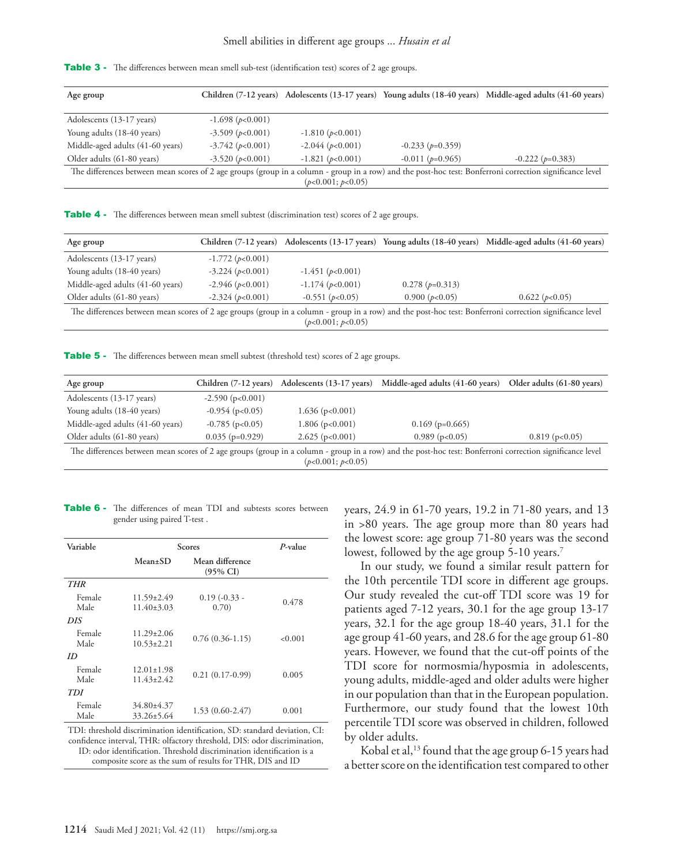| <b>Table 3</b> - The differences between mean smell sub-test (identification test) scores of 2 age groups. |  |
|------------------------------------------------------------------------------------------------------------|--|
|------------------------------------------------------------------------------------------------------------|--|

| Age group                                                                                                                                                |                        |                        |                        | Children (7-12 years) Adolescents (13-17 years) Young adults (18-40 years) Middle-aged adults (41-60 years) |
|----------------------------------------------------------------------------------------------------------------------------------------------------------|------------------------|------------------------|------------------------|-------------------------------------------------------------------------------------------------------------|
|                                                                                                                                                          |                        |                        |                        |                                                                                                             |
| Adolescents (13-17 years)                                                                                                                                | $-1.698(p<0.001)$      |                        |                        |                                                                                                             |
| Young adults (18-40 years)                                                                                                                               | $-3.509$ ( $p<0.001$ ) | $-1.810(p<0.001)$      |                        |                                                                                                             |
| Middle-aged adults (41-60 years)                                                                                                                         | $-3.742$ ( $p<0.001$ ) | $-2.044$ ( $p<0.001$ ) | $-0.233$ ( $p=0.359$ ) |                                                                                                             |
| Older adults (61-80 years)                                                                                                                               | $-3.520(p<0.001)$      | $-1.821 (p<0.001)$     | $-0.011(p=0.965)$      | $-0.222(p=0.383)$                                                                                           |
| The differences between mean scores of 2 age groups (group in a column - group in a row) and the post-hoc test: Bonferroni correction significance level |                        |                        |                        |                                                                                                             |
|                                                                                                                                                          |                        | (p<0.001; p<0.05)      |                        |                                                                                                             |

Table 4 - The differences between mean smell subtest (discrimination test) scores of 2 age groups.

| Age group                                                                                                                                                |                        |                        |                  | Children (7-12 years) Adolescents (13-17 years) Young adults (18-40 years) Middle-aged adults (41-60 years) |
|----------------------------------------------------------------------------------------------------------------------------------------------------------|------------------------|------------------------|------------------|-------------------------------------------------------------------------------------------------------------|
| Adolescents (13-17 years)                                                                                                                                | $-1.772$ ( $p<0.001$ ) |                        |                  |                                                                                                             |
| Young adults (18-40 years)                                                                                                                               | $-3.224 (p<0.001)$     | $-1.451(p<0.001)$      |                  |                                                                                                             |
| Middle-aged adults (41-60 years)                                                                                                                         | $-2.946$ ( $p<0.001$ ) | $-1.174$ ( $p<0.001$ ) | $0.278(p=0.313)$ |                                                                                                             |
| Older adults (61-80 years)                                                                                                                               | $-2.324 (p<0.001)$     | $-0.551(p<0.05)$       | 0.900 (p<0.05)   | 0.622(p<0.05)                                                                                               |
| The differences between mean scores of 2 age groups (group in a column - group in a row) and the post-hoc test: Bonferroni correction significance level |                        | (p<0.001; p<0.05)      |                  |                                                                                                             |

Table 5 - The differences between mean smell subtest (threshold test) scores of 2 age groups.

| Age group                        | Children (7-12 years)  | Adolescents (13-17 years) | Middle-aged adults (41-60 years)                                                                                                                         | Older adults (61-80 years) |
|----------------------------------|------------------------|---------------------------|----------------------------------------------------------------------------------------------------------------------------------------------------------|----------------------------|
| Adolescents (13-17 years)        | $-2.590$ ( $p<0.001$ ) |                           |                                                                                                                                                          |                            |
| Young adults (18-40 years)       | $-0.954$ (p $< 0.05$ ) | $1.636$ (p<0.001)         |                                                                                                                                                          |                            |
| Middle-aged adults (41-60 years) | $-0.785$ (p $< 0.05$ ) | $1.806$ (p<0.001)         | $0.169$ (p=0.665)                                                                                                                                        |                            |
| Older adults (61-80 years)       | $0.035$ (p=0.929)      | $2.625$ (p $<0.001$ )     | $0.989$ (p<0.05)                                                                                                                                         | $0.819$ (p \simum 0.819)   |
|                                  |                        |                           | The differences between mean scores of 2 age groups (group in a column - group in a row) and the post-hoc test: Bonferroni correction significance level |                            |

(*p*<0.001; *p*<0.05)

Table 6 - The differences of mean TDI and subtests scores between gender using paired T-test .

| P-value |                                                                           | Scores                               |                 |  |
|---------|---------------------------------------------------------------------------|--------------------------------------|-----------------|--|
|         | Mean difference<br>$(95\% \text{ CI})$                                    | $Mean \pm SD$                        |                 |  |
|         |                                                                           |                                      | <b>THR</b>      |  |
| 0.478   | $0.19(-0.33 -$<br>(0.70)                                                  | 11.59±2.49<br>$11.40\pm3.03$         | Female<br>Male  |  |
|         |                                                                           |                                      | DIS <sub></sub> |  |
| < 0.001 | $0.76(0.36-1.15)$                                                         | $11.29 \pm 2.06$<br>$10.53 \pm 2.21$ | Female<br>Male  |  |
|         |                                                                           |                                      | ID              |  |
| 0.005   | $0.21(0.17-0.99)$                                                         | $12.01 \pm 1.98$<br>$11.43 \pm 2.42$ | Female<br>Male  |  |
|         |                                                                           |                                      | TDI             |  |
| 0.001   | $1.53(0.60-2.47)$                                                         | $34.80 \pm 4.37$<br>$33.26 \pm 5.64$ | Female<br>Male  |  |
|         | TDI: threshold discrimination identification, SD: standard deviation, CI: |                                      |                 |  |

TDI: threshold discrimination identification, SD: standard deviation, CI: confidence interval, THR: olfactory threshold, DIS: odor discrimination, ID: odor identification. Threshold discrimination identification is a composite score as the sum of results for THR, DIS and ID

years, 24.9 in 61-70 years, 19.2 in 71-80 years, and 13 in >80 years. The age group more than 80 years had the lowest score: age group 71-80 years was the second lowest, followed by the age group 5-10 years.<sup>7</sup>

In our study, we found a similar result pattern for the 10th percentile TDI score in different age groups. Our study revealed the cut-off TDI score was 19 for patients aged 7-12 years, 30.1 for the age group 13-17 years, 32.1 for the age group 18-40 years, 31.1 for the age group 41-60 years, and 28.6 for the age group 61-80 years. However, we found that the cut-off points of the TDI score for normosmia/hyposmia in adolescents, young adults, middle-aged and older adults were higher in our population than that in the European population. Furthermore, our study found that the lowest 10th percentile TDI score was observed in children, followed by older adults.

Kobal et al,<sup>[13](#page-7-1)</sup> found that the age group 6-15 years had a better score on the identification test compared to other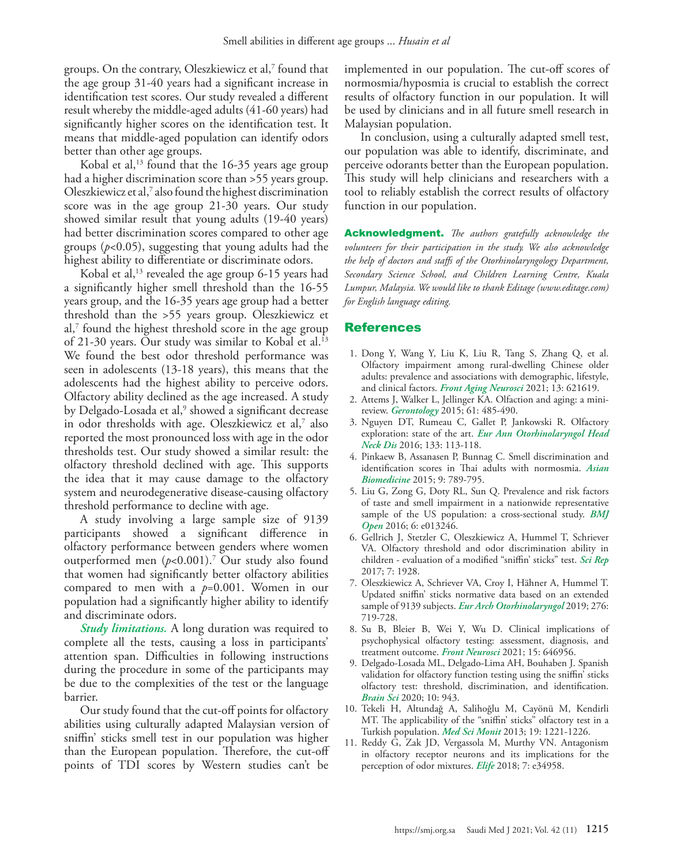groups. On the contrary, Oleszkiewicz et al[,7](#page-6-6) found that the age group 31-40 years had a significant increase in identification test scores. Our study revealed a different result whereby the middle-aged adults (41-60 years) had significantly higher scores on the identification test. It means that middle-aged population can identify odors better than other age groups.

Kobal et al, $^{13}$  found that the 16-35 years age group had a higher discrimination score than >55 years group. Oleszkiewicz et al[,7](#page-6-6) also found the highest discrimination score was in the age group 21-30 years. Our study showed similar result that young adults (19-40 years) had better discrimination scores compared to other age groups (*p*<0.05), suggesting that young adults had the highest ability to differentiate or discriminate odors.

Kobal et al, $^{13}$  $^{13}$  $^{13}$  revealed the age group 6-15 years had a significantly higher smell threshold than the 16-55 years group, and the 16-35 years age group had a better threshold than the >55 years group. Oleszkiewicz et al, $^7$  $^7$  found the highest threshold score in the age group of 21-30 years. Our study was similar to Kobal et al.<sup>13</sup> We found the best odor threshold performance was seen in adolescents (13-18 years), this means that the adolescents had the highest ability to perceive odors. Olfactory ability declined as the age increased. A study by Delgado-Losada et al,<sup>[9](#page-6-8)</sup> showed a significant decrease in odor thresholds with age. Oleszkiewicz et al,[7](#page-6-6) also reported the most pronounced loss with age in the odor thresholds test. Our study showed a similar result: the olfactory threshold declined with age. This supports the idea that it may cause damage to the olfactory system and neurodegenerative disease-causing olfactory threshold performance to decline with age.

A study involving a large sample size of 9139 participants showed a significant difference in olfactory performance between genders where women outperformed men (*p*<0.001). [7](#page-6-6) Our study also found that women had significantly better olfactory abilities compared to men with a *p*=0.001. Women in our population had a significantly higher ability to identify and discriminate odors.

*Study limitations.* A long duration was required to complete all the tests, causing a loss in participants' attention span. Difficulties in following instructions during the procedure in some of the participants may be due to the complexities of the test or the language barrier.

Our study found that the cut-off points for olfactory abilities using culturally adapted Malaysian version of sniffin' sticks smell test in our population was higher than the European population. Therefore, the cut-off points of TDI scores by Western studies can't be

implemented in our population. The cut-off scores of normosmia/hyposmia is crucial to establish the correct results of olfactory function in our population. It will be used by clinicians and in all future smell research in Malaysian population.

In conclusion, using a culturally adapted smell test, our population was able to identify, discriminate, and perceive odorants better than the European population. This study will help clinicians and researchers with a tool to reliably establish the correct results of olfactory function in our population.

Acknowledgment. *The authors gratefully acknowledge the volunteers for their participation in the study. We also acknowledge the help of doctors and staffs of the Otorhinolaryngology Department, Secondary Science School, and Children Learning Centre, Kuala Lumpur, Malaysia. We would like to thank Editage (www.editage.com) for English language editing.*

#### References

- <span id="page-6-0"></span> 1. [Dong Y, Wang Y, Liu K, Liu R, Tang S, Zhang Q, et al.](https://pubmed.ncbi.nlm.nih.gov/33912022/)  [Olfactory impairment among rural-dwelling Chinese older](https://pubmed.ncbi.nlm.nih.gov/33912022/)  [adults: prevalence and associations with demographic, lifestyle,](https://pubmed.ncbi.nlm.nih.gov/33912022/)  and clinical factors. *[Front Aging Neurosci](https://pubmed.ncbi.nlm.nih.gov/33912022/)* 2021; 13: 621619.
- <span id="page-6-1"></span> 2. [Attems J, Walker L, Jellinger KA. Olfaction and aging: a mini](https://pubmed.ncbi.nlm.nih.gov/25968962/)review. *Gerontology* [2015; 61: 485-490.](https://pubmed.ncbi.nlm.nih.gov/25968962/)
- <span id="page-6-2"></span> 3. [Nguyen DT, Rumeau C, Gallet P, Jankowski R. Olfactory](https://pubmed.ncbi.nlm.nih.gov/26384780/)  exploration: state of the art. *[Eur Ann Otorhinolaryngol Head](https://pubmed.ncbi.nlm.nih.gov/26384780/)  Neck Dis* [2016; 133: 113-118.](https://pubmed.ncbi.nlm.nih.gov/26384780/)
- <span id="page-6-3"></span> 4. [Pinkaew B, Assanasen P, Bunnag C. Smell discrimination and](https://sciendo.com/article/10.5372/1905-7415.0906.452)  [identification scores in Thai adults with normosmia.](https://sciendo.com/article/10.5372/1905-7415.0906.452) *Asian Biomedicine* [2015; 9: 789-795.](https://sciendo.com/article/10.5372/1905-7415.0906.452)
- <span id="page-6-4"></span> 5. [Liu G, Zong G, Doty RL, Sun Q. Prevalence and risk factors](https://pubmed.ncbi.nlm.nih.gov/28157672/)  [of taste and smell impairment in a nationwide representative](https://pubmed.ncbi.nlm.nih.gov/28157672/)  [sample of the US population: a cross-sectional study.](https://pubmed.ncbi.nlm.nih.gov/28157672/) *BMJ Open* [2016; 6: e013246.](https://pubmed.ncbi.nlm.nih.gov/28157672/)
- <span id="page-6-5"></span> 6. [Gellrich J, Stetzler C, Oleszkiewicz A, Hummel T, Schriever](https://pubmed.ncbi.nlm.nih.gov/28512302/)  [VA. Olfactory threshold and odor discrimination ability in](https://pubmed.ncbi.nlm.nih.gov/28512302/)  [children - evaluation of a modified "sniffin' sticks" test.](https://pubmed.ncbi.nlm.nih.gov/28512302/) *Sci Rep*  [2017; 7: 1928.](https://pubmed.ncbi.nlm.nih.gov/28512302/)
- <span id="page-6-6"></span> 7. [Oleszkiewicz A, Schriever VA, Croy I, Hähner A, Hummel T.](https://pubmed.ncbi.nlm.nih.gov/30554358/)  [Updated sniffin' sticks normative data based on an extended](https://pubmed.ncbi.nlm.nih.gov/30554358/)  sample of 9139 subjects. *[Eur Arch Otorhinolaryngol](https://pubmed.ncbi.nlm.nih.gov/30554358/)* 2019; 276: [719-728.](https://pubmed.ncbi.nlm.nih.gov/30554358/)
- <span id="page-6-7"></span> 8. [Su B, Bleier B, Wei Y, Wu D. Clinical implications of](https://pubmed.ncbi.nlm.nih.gov/33815048/)  [psychophysical olfactory testing: assessment, diagnosis, and](https://pubmed.ncbi.nlm.nih.gov/33815048/)  [treatment outcome.](https://pubmed.ncbi.nlm.nih.gov/33815048/) *Front Neurosci* 2021; 15: 646956.
- <span id="page-6-8"></span> 9. [Delgado-Losada ML, Delgado-Lima AH, Bouhaben J. Spanish](https://pubmed.ncbi.nlm.nih.gov/33297359/)  [validation for olfactory function testing using the sniffin' sticks](https://pubmed.ncbi.nlm.nih.gov/33297359/)  [olfactory test: threshold, discrimination, and identification.](https://pubmed.ncbi.nlm.nih.gov/33297359/)  *Brain Sci* [2020; 10: 943.](https://pubmed.ncbi.nlm.nih.gov/33297359/)
- <span id="page-6-9"></span>10. [Tekeli H, Altundağ A, Salihoğlu M, Cayönü M, Kendirli](https://pubmed.ncbi.nlm.nih.gov/24382345/)  [MT. The applicability of the "sniffin' sticks" olfactory test in a](https://pubmed.ncbi.nlm.nih.gov/24382345/)  Turkish population. *Med Sci Monit* [2013; 19: 1221-1226.](https://pubmed.ncbi.nlm.nih.gov/24382345/)
- <span id="page-6-10"></span>11. [Reddy G, Zak JD, Vergassola M, Murthy VN. Antagonism](https://pubmed.ncbi.nlm.nih.gov/29687778/)  [in olfactory receptor neurons and its implications for the](https://pubmed.ncbi.nlm.nih.gov/29687778/)  [perception of odor mixtures.](https://pubmed.ncbi.nlm.nih.gov/29687778/) *Elife* 2018; 7: e34958.